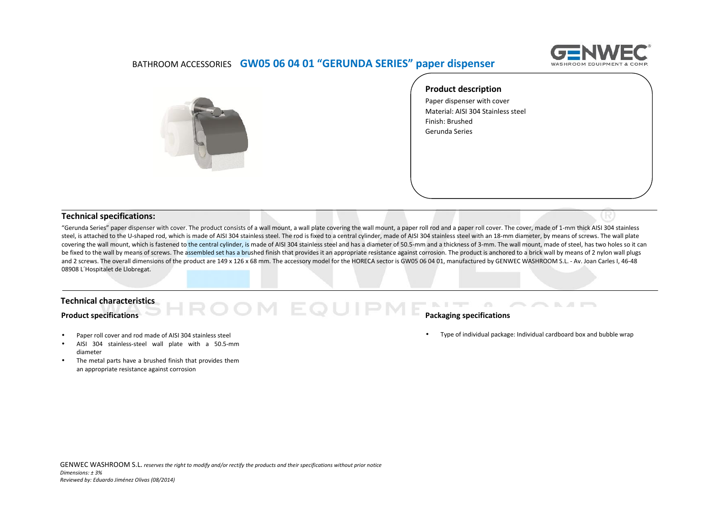

### BATHROOM ACCESSORIES **GW05 06 04 01 "GERUNDA SERIES" paper dispenser**



**Product description**

Paper dispenser with cover Material: AISI 304 Stainless steel Finish: Brushed Gerunda Series

#### **Technical specifications:**

"Gerunda Series" paper dispenser with cover. The product consists of a wall mount, a wall plate covering the wall mount, a paper roll rod and a paper roll cover. The cover, made of 1-mm thick AISI 304 stainless steel, is attached to the U-shaped rod, which is made of AISI 304 stainless steel. The rod is fixed to a central cylinder, made of AISI 304 stainless steel with an 18-mm diameter, by means of screws. The wall plate covering the wall mount, which is fastened to the central cylinder, is made of AISI 304 stainless steel and has a diameter of 50.5-mm and a thickness of 3-mm. The wall mount, made of steel, has two holes so it can be fixed to the wall by means of screws. The assembled set has a brushed finish that provides it an appropriate resistance against corrosion. The product is anchored to a brick wall by means of 2 nylon wall plugs and 2 screws. The overall dimensions of the product are 149 x 126 x 68 mm. The accessory model for the HORECA sector is GW05 06 04 01, manufactured by GENWEC WASHROOM S.L. - Av. Joan Carles I, 46-48 08908 L´Hospitalet de Llobregat.

#### **Technical characteristics**

#### **Product specifications**

- Paper roll cover and rod made of AISI 304 stainless steel
- AISI 304 stainless-steel wall plate with a 50.5-mm diameter
- The metal parts have a brushed finish that provides them an appropriate resistance against corrosion

# **PME PACKAging specifications**

Type of individual package: Individual cardboard box and bubble wrap